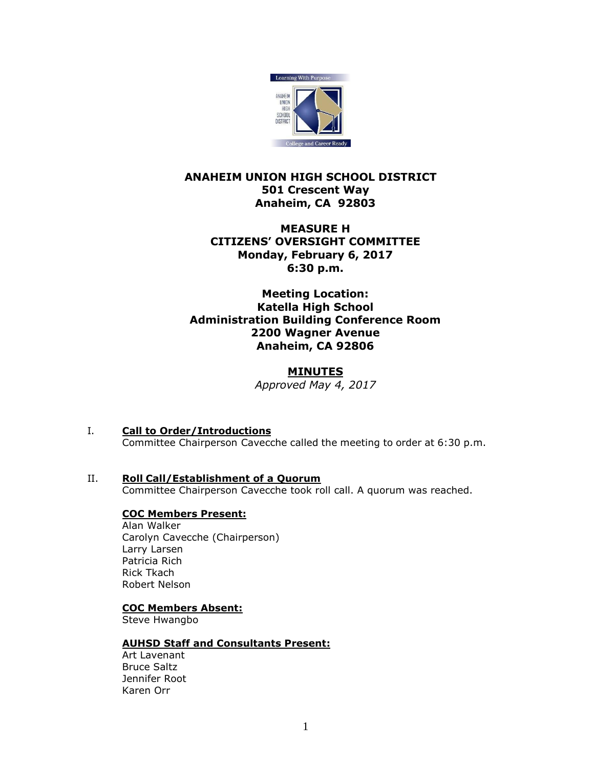

# **ANAHEIM UNION HIGH SCHOOL DISTRICT 501 Crescent Way Anaheim, CA 92803**

## **MEASURE H CITIZENS' OVERSIGHT COMMITTEE Monday, February 6, 2017 6:30 p.m.**

### **Meeting Location: Katella High School Administration Building Conference Room 2200 Wagner Avenue Anaheim, CA 92806**

### **MINUTES** *Approved May 4, 2017*

- I. **Call to Order/Introductions** Committee Chairperson Cavecche called the meeting to order at 6:30 p.m.
- II. **Roll Call/Establishment of a Quorum** Committee Chairperson Cavecche took roll call. A quorum was reached.

# **COC Members Present:**

Alan Walker Carolyn Cavecche (Chairperson) Larry Larsen Patricia Rich Rick Tkach Robert Nelson

# **COC Members Absent:**

Steve Hwangbo

# **AUHSD Staff and Consultants Present:**

Art Lavenant Bruce Saltz Jennifer Root Karen Orr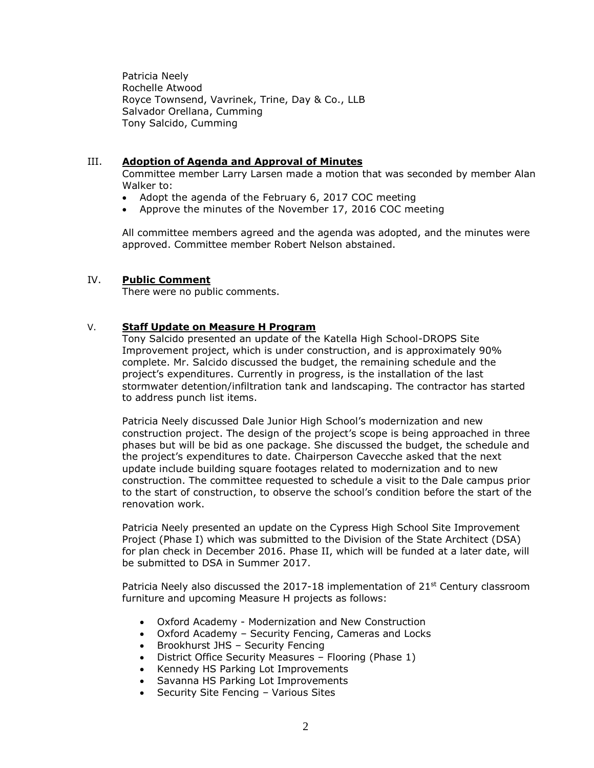Patricia Neely Rochelle Atwood Royce Townsend, Vavrinek, Trine, Day & Co., LLB Salvador Orellana, Cumming Tony Salcido, Cumming

### III. **Adoption of Agenda and Approval of Minutes**

Committee member Larry Larsen made a motion that was seconded by member Alan Walker to:

- Adopt the agenda of the February 6, 2017 COC meeting
- Approve the minutes of the November 17, 2016 COC meeting

All committee members agreed and the agenda was adopted, and the minutes were approved. Committee member Robert Nelson abstained.

### IV. **Public Comment**

There were no public comments.

### V. **Staff Update on Measure H Program**

Tony Salcido presented an update of the Katella High School-DROPS Site Improvement project, which is under construction, and is approximately 90% complete. Mr. Salcido discussed the budget, the remaining schedule and the project's expenditures. Currently in progress, is the installation of the last stormwater detention/infiltration tank and landscaping. The contractor has started to address punch list items.

Patricia Neely discussed Dale Junior High School's modernization and new construction project. The design of the project's scope is being approached in three phases but will be bid as one package. She discussed the budget, the schedule and the project's expenditures to date. Chairperson Cavecche asked that the next update include building square footages related to modernization and to new construction. The committee requested to schedule a visit to the Dale campus prior to the start of construction, to observe the school's condition before the start of the renovation work.

Patricia Neely presented an update on the Cypress High School Site Improvement Project (Phase I) which was submitted to the Division of the State Architect (DSA) for plan check in December 2016. Phase II, which will be funded at a later date, will be submitted to DSA in Summer 2017.

Patricia Neely also discussed the  $2017-18$  implementation of  $21<sup>st</sup>$  Century classroom furniture and upcoming Measure H projects as follows:

- Oxford Academy Modernization and New Construction
- Oxford Academy Security Fencing, Cameras and Locks
- Brookhurst JHS Security Fencing
- District Office Security Measures Flooring (Phase 1)
- Kennedy HS Parking Lot Improvements
- Savanna HS Parking Lot Improvements
- Security Site Fencing Various Sites